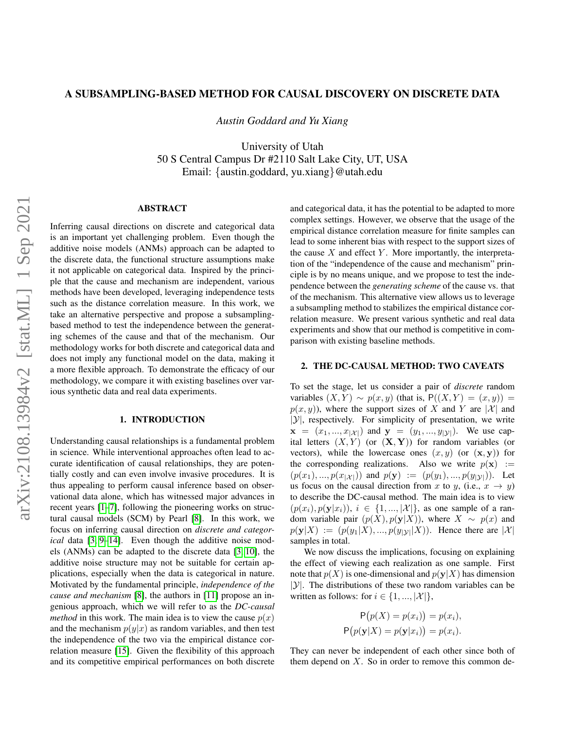## A SUBSAMPLING-BASED METHOD FOR CAUSAL DISCOVERY ON DISCRETE DATA

*Austin Goddard and Yu Xiang*

University of Utah 50 S Central Campus Dr #2110 Salt Lake City, UT, USA Email: {austin.goddard, yu.xiang}@utah.edu

## ABSTRACT

Inferring causal directions on discrete and categorical data is an important yet challenging problem. Even though the additive noise models (ANMs) approach can be adapted to the discrete data, the functional structure assumptions make it not applicable on categorical data. Inspired by the principle that the cause and mechanism are independent, various methods have been developed, leveraging independence tests such as the distance correlation measure. In this work, we take an alternative perspective and propose a subsamplingbased method to test the independence between the generating schemes of the cause and that of the mechanism. Our methodology works for both discrete and categorical data and does not imply any functional model on the data, making it a more flexible approach. To demonstrate the efficacy of our methodology, we compare it with existing baselines over various synthetic data and real data experiments.

# 1. INTRODUCTION

Understanding causal relationships is a fundamental problem in science. While interventional approaches often lead to accurate identification of causal relationships, they are potentially costly and can even involve invasive procedures. It is thus appealing to perform causal inference based on observational data alone, which has witnessed major advances in recent years [\[1](#page-3-0)[–7\]](#page-4-0), following the pioneering works on structural causal models (SCM) by Pearl [\[8\]](#page-4-1). In this work, we focus on inferring causal direction on *discrete and categorical* data [\[3,](#page-4-2) [9](#page-4-3)[–14\]](#page-4-4). Even though the additive noise models (ANMs) can be adapted to the discrete data [\[3,](#page-4-2) [10\]](#page-4-5), the additive noise structure may not be suitable for certain applications, especially when the data is categorical in nature. Motivated by the fundamental principle, *independence of the cause and mechanism* [\[8\]](#page-4-1), the authors in [\[11\]](#page-4-6) propose an ingenious approach, which we will refer to as the *DC-causal method* in this work. The main idea is to view the cause  $p(x)$ and the mechanism  $p(y|x)$  as random variables, and then test the independence of the two via the empirical distance correlation measure [\[15\]](#page-4-7). Given the flexibility of this approach and its competitive empirical performances on both discrete and categorical data, it has the potential to be adapted to more complex settings. However, we observe that the usage of the empirical distance correlation measure for finite samples can lead to some inherent bias with respect to the support sizes of the cause  $X$  and effect  $Y$ . More importantly, the interpretation of the "independence of the cause and mechanism" principle is by no means unique, and we propose to test the independence between the *generating scheme* of the cause vs. that of the mechanism. This alternative view allows us to leverage a subsampling method to stabilizes the empirical distance correlation measure. We present various synthetic and real data experiments and show that our method is competitive in comparison with existing baseline methods.

### 2. THE DC-CAUSAL METHOD: TWO CAVEATS

To set the stage, let us consider a pair of *discrete* random variables  $(X, Y) \sim p(x, y)$  (that is,  $P((X, Y) = (x, y)) =$  $p(x, y)$ , where the support sizes of X and Y are |X| and  $|\mathcal{Y}|$ , respectively. For simplicity of presentation, we write  $\mathbf{x} = (x_1, ..., x_{|\mathcal{X}|})$  and  $\mathbf{y} = (y_1, ..., y_{|\mathcal{Y}|})$ . We use capital letters  $(X, Y)$  (or  $(X, Y)$ ) for random variables (or vectors), while the lowercase ones  $(x, y)$  (or  $(x, y)$ ) for the corresponding realizations. Also we write  $p(\mathbf{x}) :=$  $(p(x_1), ..., p(x_{|\mathcal{X}|}))$  and  $p(\mathbf{y}) := (p(y_1), ..., p(y_{|\mathcal{Y}|}))$ . Let us focus on the causal direction from x to y, (i.e.,  $x \rightarrow y$ ) to describe the DC-causal method. The main idea is to view  $(p(x_i), p(\mathbf{y}|x_i)), i \in \{1, ..., |\mathcal{X}|\}$ , as one sample of a random variable pair  $(p(X), p(y|X))$ , where  $X \sim p(x)$  and  $p(\mathbf{y}|X) := (p(y_1|X),...,p(y_{|\mathcal{Y}|}|X)).$  Hence there are  $|\mathcal{X}|$ samples in total.

We now discuss the implications, focusing on explaining the effect of viewing each realization as one sample. First note that  $p(X)$  is one-dimensional and  $p(y|X)$  has dimension  $|\mathcal{Y}|$ . The distributions of these two random variables can be written as follows: for  $i \in \{1, ..., |\mathcal{X}|\},$ 

$$
P(p(X) = p(x_i)) = p(x_i),
$$
  
 
$$
P(p(\mathbf{y}|X) = p(\mathbf{y}|x_i)) = p(x_i).
$$

They can never be independent of each other since both of them depend on  $X$ . So in order to remove this common de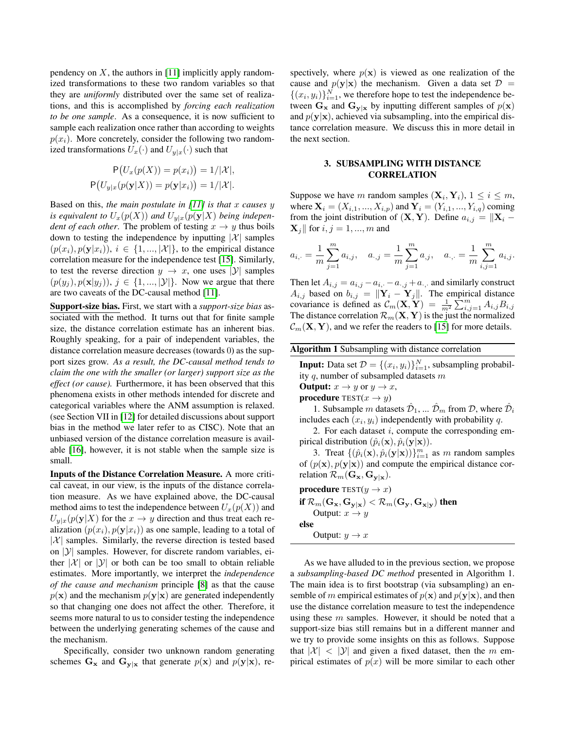pendency on  $X$ , the authors in [\[11\]](#page-4-6) implicitly apply randomized transformations to these two random variables so that they are *uniformly* distributed over the same set of realizations, and this is accomplished by *forcing each realization to be one sample*. As a consequence, it is now sufficient to sample each realization once rather than according to weights  $p(x_i)$ . More concretely, consider the following two randomized transformations  $U_x(\cdot)$  and  $U_{y|x}(\cdot)$  such that

$$
P(U_x(p(X)) = p(x_i)) = 1/|\mathcal{X}|,
$$
  
 
$$
P(U_{y|x}(p(y|X)) = p(y|x_i)) = 1/|\mathcal{X}|.
$$

Based on this, *the main postulate in [\[11\]](#page-4-6) is that* x *causes* y *is equivalent to*  $U_x(p(X))$  *and*  $U_{y|x}(p(y|X))$  *being independent of each other.* The problem of testing  $x \rightarrow y$  thus boils down to testing the independence by inputting  $|\mathcal{X}|$  samples  $(p(x_i), p(\mathbf{y}|x_i)), i \in \{1, ..., |\mathcal{X}|\}$ , to the empirical distance correlation measure for the independence test [\[15\]](#page-4-7). Similarly, to test the reverse direction  $y \to x$ , one uses  $|\mathcal{Y}|$  samples  $(p(y_i), p(\mathbf{x}|y_i)), j \in \{1, ..., |\mathcal{Y}|\}$ . Now we argue that there are two caveats of the DC-causal method [\[11\]](#page-4-6).

Support-size bias. First, we start with a *support-size bias* associated with the method. It turns out that for finite sample size, the distance correlation estimate has an inherent bias. Roughly speaking, for a pair of independent variables, the distance correlation measure decreases (towards 0) as the support sizes grow. *As a result, the DC-causal method tends to claim the one with the smaller (or larger) support size as the effect (or cause).* Furthermore, it has been observed that this phenomena exists in other methods intended for discrete and categorical variables where the ANM assumption is relaxed. (see Section VII in [\[12\]](#page-4-8) for detailed discussions about support bias in the method we later refer to as CISC). Note that an unbiased version of the distance correlation measure is available [\[16\]](#page-4-9), however, it is not stable when the sample size is small.

Inputs of the Distance Correlation Measure. A more critical caveat, in our view, is the inputs of the distance correlation measure. As we have explained above, the DC-causal method aims to test the independence between  $U_x(p(X))$  and  $U_{y|x}(p(y|X)$  for the  $x \to y$  direction and thus treat each realization  $(p(x_i), p(\mathbf{y}|x_i))$  as one sample, leading to a total of  $|\mathcal{X}|$  samples. Similarly, the reverse direction is tested based on  $|y|$  samples. However, for discrete random variables, either  $|\mathcal{X}|$  or  $|\mathcal{Y}|$  or both can be too small to obtain reliable estimates. More importantly, we interpret the *independence of the cause and mechanism* principle [\[8\]](#page-4-1) as that the cause  $p(x)$  and the mechanism  $p(y|x)$  are generated independently so that changing one does not affect the other. Therefore, it seems more natural to us to consider testing the independence between the underlying generating schemes of the cause and the mechanism.

Specifically, consider two unknown random generating schemes  $G_x$  and  $G_{y|x}$  that generate  $p(x)$  and  $p(y|x)$ , respectively, where  $p(x)$  is viewed as one realization of the cause and  $p(y|x)$  the mechanism. Given a data set  $\mathcal{D}$  =  $\{(x_i, y_i)\}_{i=1}^N$ , we therefore hope to test the independence between  $G_x$  and  $G_{y|x}$  by inputting different samples of  $p(x)$ and  $p(y|x)$ , achieved via subsampling, into the empirical distance correlation measure. We discuss this in more detail in the next section.

# 3. SUBSAMPLING WITH DISTANCE CORRELATION

Suppose we have m random samples  $(\mathbf{X}_i, \mathbf{Y}_i)$ ,  $1 \le i \le m$ , where  $X_i = (X_{i,1}, ..., X_{i,p})$  and  $Y_i = (Y_{i,1}, ..., Y_{i,q})$  coming from the joint distribution of  $(X, Y)$ . Define  $a_{i,j} = ||X_i \mathbf{X}_i$  for  $i, j = 1, ..., m$  and

$$
a_{i, \cdot} = \frac{1}{m} \sum_{j=1}^{m} a_{i,j}, \quad a_{\cdot,j} = \frac{1}{m} \sum_{j=1}^{m} a_{j}, \quad a_{\cdot, \cdot} = \frac{1}{m} \sum_{i,j=1}^{m} a_{i,j}.
$$

Then let  $A_{i,j} = a_{i,j} - a_{i,j} - a_{i,j} + a_{i,j}$  and similarly construct  $A_{i,j}$  based on  $b_{i,j} = ||\mathbf{Y}_i - \mathbf{Y}_j||$ . The empirical distance covariance is defined as  $\mathcal{C}_m(\mathbf{X}, \mathbf{Y}) = \frac{1}{m^2} \sum_{i,j=1}^m A_{i,j} B_{i,j}$ The distance correlation  $\mathcal{R}_m(\mathbf{X}, \mathbf{Y})$  is the just the normalized  $\mathcal{C}_m(\mathbf{X}, \mathbf{Y})$ , and we refer the readers to [\[15\]](#page-4-7) for more details.

Algorithm 1 Subsampling with distance correlation

**Input:** Data set  $\mathcal{D} = \{(x_i, y_i)\}_{i=1}^N$ , subsampling probability  $q$ , number of subsampled datasets  $m$ 

**Output:**  $x \rightarrow y$  or  $y \rightarrow x$ ,

**procedure** TEST $(x \rightarrow y)$ 

1. Subsample m datasets  $\hat{\mathcal{D}}_1, \dots \hat{\mathcal{D}}_m$  from  $\mathcal{D}$ , where  $\hat{\mathcal{D}}_i$ includes each  $(x_i, y_i)$  independently with probability q.

2. For each dataset  $i$ , compute the corresponding empirical distribution  $(\hat{p}_i(\mathbf{x}), \hat{p}_i(\mathbf{y}|\mathbf{x})).$ 

3. Treat  $\{(\hat{p}_i(\mathbf{x}), \hat{p}_i(\mathbf{y}|\mathbf{x}))\}_{i=1}^m$  as m random samples of  $(p(\mathbf{x}), p(\mathbf{y}|\mathbf{x}))$  and compute the empirical distance correlation  $\mathcal{R}_m(\mathbf{G}_\mathbf{x}, \mathbf{G}_{\mathbf{y}|\mathbf{x}})$ .

**procedure** TEST $(y \rightarrow x)$ 

if  $\mathcal{R}_m(\mathbf{G}_\mathbf{x},\mathbf{G}_{\mathbf{v}|\mathbf{x}}) < \mathcal{R}_m(\mathbf{G}_\mathbf{y},\mathbf{G}_{\mathbf{x}|\mathbf{v}})$  then Output:  $x \rightarrow y$ else Output:  $y \to x$ 

As we have alluded to in the previous section, we propose a *subsampling-based DC method* presented in Algorithm 1. The main idea is to first bootstrap (via subsampling) an ensemble of m empirical estimates of  $p(x)$  and  $p(y|x)$ , and then use the distance correlation measure to test the independence using these  $m$  samples. However, it should be noted that a support-size bias still remains but in a different manner and we try to provide some insights on this as follows. Suppose that  $|\mathcal{X}| < |\mathcal{Y}|$  and given a fixed dataset, then the m empirical estimates of  $p(x)$  will be more similar to each other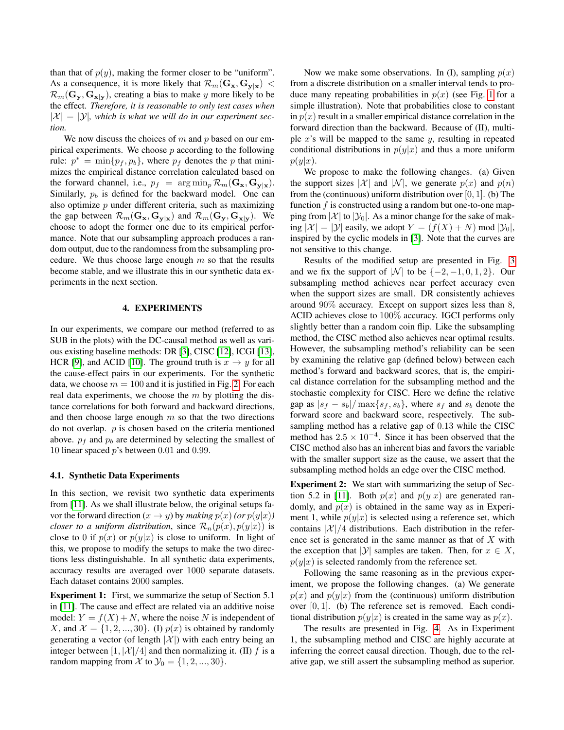than that of  $p(y)$ , making the former closer to be "uniform". As a consequence, it is more likely that  $\mathcal{R}_m(\mathbf{G}_\mathbf{x}, \mathbf{G}_{\mathbf{y}|\mathbf{x}})$  <  $\mathcal{R}_m(\mathbf{G}_y, \mathbf{G}_{x|y})$ , creating a bias to make y more likely to be the effect. *Therefore, it is reasonable to only test cases when*  $|\mathcal{X}| = |\mathcal{Y}|$ , which is what we will do in our experiment sec*tion.*

We now discuss the choices of  $m$  and  $p$  based on our empirical experiments. We choose  $p$  according to the following rule:  $p^* = \min\{p_f, p_b\}$ , where  $p_f$  denotes the p that minimizes the empirical distance correlation calculated based on the forward channel, i.e.,  $p_f = \arg \min_p \mathcal{R}_m(\mathbf{G}_\mathbf{x}, \mathbf{G}_{\mathbf{y}|\mathbf{x}})$ . Similarly,  $p<sub>b</sub>$  is defined for the backward model. One can also optimize  $p$  under different criteria, such as maximizing the gap between  $\mathcal{R}_m(\mathbf{G}_\mathbf{x}, \mathbf{G}_{\mathbf{y}|\mathbf{x}})$  and  $\mathcal{R}_m(\mathbf{G}_\mathbf{y}, \mathbf{G}_{\mathbf{x}|\mathbf{y}})$ . We choose to adopt the former one due to its empirical performance. Note that our subsampling approach produces a random output, due to the randomness from the subsampling procedure. We thus choose large enough  $m$  so that the results become stable, and we illustrate this in our synthetic data experiments in the next section.

## 4. EXPERIMENTS

In our experiments, we compare our method (referred to as SUB in the plots) with the DC-causal method as well as various existing baseline methods: DR [\[3\]](#page-4-2), CISC [\[12\]](#page-4-8), ICGI [\[13\]](#page-4-10), HCR [\[9\]](#page-4-3), and ACID [\[10\]](#page-4-5). The ground truth is  $x \to y$  for all the cause-effect pairs in our experiments. For the synthetic data, we choose  $m = 100$  and it is justified in Fig. [2.](#page-3-1) For each real data experiments, we choose the  $m$  by plotting the distance correlations for both forward and backward directions, and then choose large enough  $m$  so that the two directions do not overlap.  $p$  is chosen based on the criteria mentioned above.  $p_f$  and  $p_b$  are determined by selecting the smallest of 10 linear spaced  $p$ 's between 0.01 and 0.99.

#### 4.1. Synthetic Data Experiments

In this section, we revisit two synthetic data experiments from [\[11\]](#page-4-6). As we shall illustrate below, the original setups favor the forward direction  $(x \to y)$  by *making*  $p(x)$  *(or*  $p(y|x)$ *) closer to a uniform distribution*, since  $\mathcal{R}_n(p(x), p(y|x))$  is close to 0 if  $p(x)$  or  $p(y|x)$  is close to uniform. In light of this, we propose to modify the setups to make the two directions less distinguishable. In all synthetic data experiments, accuracy results are averaged over 1000 separate datasets. Each dataset contains 2000 samples.

Experiment 1: First, we summarize the setup of Section 5.1 in [\[11\]](#page-4-6). The cause and effect are related via an additive noise model:  $Y = f(X) + N$ , where the noise N is independent of X, and  $\mathcal{X} = \{1, 2, ..., 30\}$ . (I)  $p(x)$  is obtained by randomly generating a vector (of length  $|\mathcal{X}|$ ) with each entry being an integer between  $\left[1, |\mathcal{X}|/4\right]$  and then normalizing it. (II) f is a random mapping from X to  $\mathcal{Y}_0 = \{1, 2, ..., 30\}.$ 

Now we make some observations. In (I), sampling  $p(x)$ from a discrete distribution on a smaller interval tends to produce many repeating probabilities in  $p(x)$  (see Fig. [1](#page-3-2) for a simple illustration). Note that probabilities close to constant in  $p(x)$  result in a smaller empirical distance correlation in the forward direction than the backward. Because of (II), multiple  $x$ 's will be mapped to the same  $y$ , resulting in repeated conditional distributions in  $p(y|x)$  and thus a more uniform  $p(y|x).$ 

We propose to make the following changes. (a) Given the support sizes |X| and |N|, we generate  $p(x)$  and  $p(n)$ from the (continuous) uniform distribution over  $[0, 1]$ . (b) The function  $f$  is constructed using a random but one-to-one mapping from  $|\mathcal{X}|$  to  $|\mathcal{Y}_0|$ . As a minor change for the sake of making  $|\mathcal{X}| = |\mathcal{Y}|$  easily, we adopt  $Y = (f(X) + N) \text{ mod } |\mathcal{Y}_0|$ , inspired by the cyclic models in [\[3\]](#page-4-2). Note that the curves are not sensitive to this change.

Results of the modified setup are presented in Fig. [3](#page-3-3) and we fix the support of |N| to be  $\{-2, -1, 0, 1, 2\}$ . Our subsampling method achieves near perfect accuracy even when the support sizes are small. DR consistently achieves around 90% accuracy. Except on support sizes less than 8, ACID achieves close to 100% accuracy. IGCI performs only slightly better than a random coin flip. Like the subsampling method, the CISC method also achieves near optimal results. However, the subsampling method's reliability can be seen by examining the relative gap (defined below) between each method's forward and backward scores, that is, the empirical distance correlation for the subsampling method and the stochastic complexity for CISC. Here we define the relative gap as  $|s_f - s_b| / \max\{s_f, s_b\}$ , where  $s_f$  and  $s_b$  denote the forward score and backward score, respectively. The subsampling method has a relative gap of 0.13 while the CISC method has  $2.5 \times 10^{-4}$ . Since it has been observed that the CISC method also has an inherent bias and favors the variable with the smaller support size as the cause, we assert that the subsampling method holds an edge over the CISC method.

Experiment 2: We start with summarizing the setup of Sec-tion 5.2 in [\[11\]](#page-4-6). Both  $p(x)$  and  $p(y|x)$  are generated randomly, and  $p(x)$  is obtained in the same way as in Experiment 1, while  $p(y|x)$  is selected using a reference set, which contains  $|\mathcal{X}|/4$  distributions. Each distribution in the reference set is generated in the same manner as that of X with the exception that |Y| samples are taken. Then, for  $x \in X$ ,  $p(y|x)$  is selected randomly from the reference set.

Following the same reasoning as in the previous experiment, we propose the following changes. (a) We generate  $p(x)$  and  $p(y|x)$  from the (continuous) uniform distribution over [0, 1]. (b) The reference set is removed. Each conditional distribution  $p(y|x)$  is created in the same way as  $p(x)$ .

The results are presented in Fig. [4.](#page-3-4) As in Experiment 1, the subsampling method and CISC are highly accurate at inferring the correct causal direction. Though, due to the relative gap, we still assert the subsampling method as superior.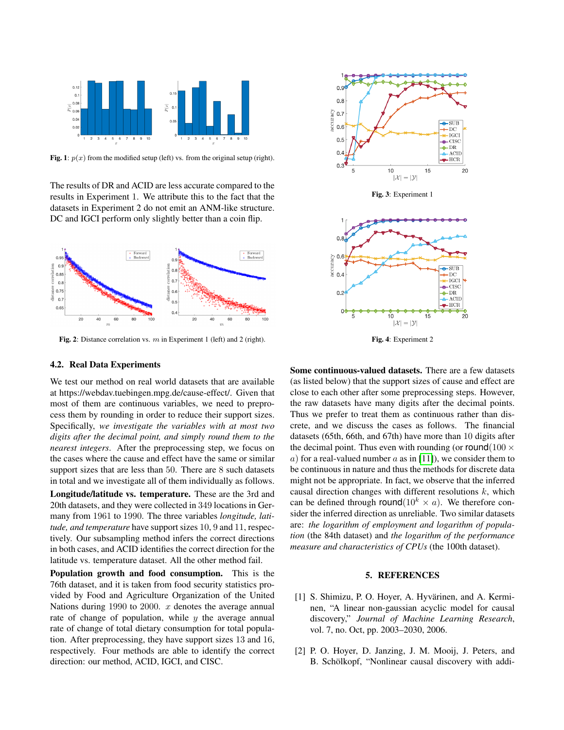<span id="page-3-2"></span>

Fig. 1:  $p(x)$  from the modified setup (left) vs. from the original setup (right).

The results of DR and ACID are less accurate compared to the results in Experiment 1. We attribute this to the fact that the datasets in Experiment 2 do not emit an ANM-like structure. DC and IGCI perform only slightly better than a coin flip.

<span id="page-3-1"></span>

Fig. 2: Distance correlation vs.  $m$  in Experiment 1 (left) and 2 (right).

# 4.2. Real Data Experiments

We test our method on real world datasets that are available at https://webdav.tuebingen.mpg.de/cause-effect/. Given that most of them are continuous variables, we need to preprocess them by rounding in order to reduce their support sizes. Specifically, *we investigate the variables with at most two digits after the decimal point, and simply round them to the nearest integers*. After the preprocessing step, we focus on the cases where the cause and effect have the same or similar support sizes that are less than 50. There are 8 such datasets in total and we investigate all of them individually as follows.

Longitude/latitude vs. temperature. These are the 3rd and 20th datasets, and they were collected in 349 locations in Germany from 1961 to 1990. The three variables *longitude, latitude, and temperature* have support sizes 10, 9 and 11, respectively. Our subsampling method infers the correct directions in both cases, and ACID identifies the correct direction for the latitude vs. temperature dataset. All the other method fail.

Population growth and food consumption. This is the 76th dataset, and it is taken from food security statistics provided by Food and Agriculture Organization of the United Nations during 1990 to 2000.  $x$  denotes the average annual rate of change of population, while  $y$  the average annual rate of change of total dietary consumption for total population. After preprocessing, they have support sizes 13 and 16, respectively. Four methods are able to identify the correct direction: our method, ACID, IGCI, and CISC.

<span id="page-3-3"></span>

Fig. 3: Experiment 1

<span id="page-3-4"></span>

Fig. 4: Experiment 2

Some continuous-valued datasets. There are a few datasets (as listed below) that the support sizes of cause and effect are close to each other after some preprocessing steps. However, the raw datasets have many digits after the decimal points. Thus we prefer to treat them as continuous rather than discrete, and we discuss the cases as follows. The financial datasets (65th, 66th, and 67th) have more than 10 digits after the decimal point. Thus even with rounding (or round(100  $\times$ a) for a real-valued number a as in [\[11\]](#page-4-6)), we consider them to be continuous in nature and thus the methods for discrete data might not be appropriate. In fact, we observe that the inferred causal direction changes with different resolutions  $k$ , which can be defined through round( $10^k \times a$ ). We therefore consider the inferred direction as unreliable. Two similar datasets are: *the logarithm of employment and logarithm of population* (the 84th dataset) and *the logarithm of the performance measure and characteristics of CPUs* (the 100th dataset).

### 5. REFERENCES

- <span id="page-3-0"></span>[1] S. Shimizu, P. O. Hoyer, A. Hyvärinen, and A. Kerminen, "A linear non-gaussian acyclic model for causal discovery," *Journal of Machine Learning Research*, vol. 7, no. Oct, pp. 2003–2030, 2006.
- [2] P. O. Hoyer, D. Janzing, J. M. Mooij, J. Peters, and B. Schölkopf, "Nonlinear causal discovery with addi-